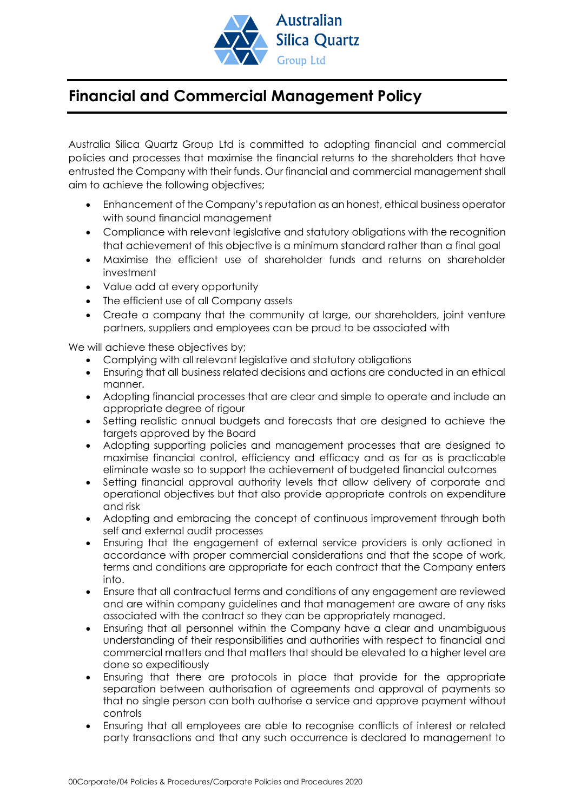

## **Financial and Commercial Management Policy**

Australia Silica Quartz Group Ltd is committed to adopting financial and commercial policies and processes that maximise the financial returns to the shareholders that have entrusted the Company with their funds. Our financial and commercial management shall aim to achieve the following objectives;

- Enhancement of the Company's reputation as an honest, ethical business operator with sound financial management
- Compliance with relevant legislative and statutory obligations with the recognition that achievement of this objective is a minimum standard rather than a final goal
- Maximise the efficient use of shareholder funds and returns on shareholder investment
- Value add at every opportunity
- The efficient use of all Company assets
- Create a company that the community at large, our shareholders, joint venture partners, suppliers and employees can be proud to be associated with

We will achieve these objectives by;

- Complying with all relevant legislative and statutory obligations
- Ensuring that all business related decisions and actions are conducted in an ethical manner.
- Adopting financial processes that are clear and simple to operate and include an appropriate degree of rigour
- Setting realistic annual budgets and forecasts that are designed to achieve the targets approved by the Board
- Adopting supporting policies and management processes that are designed to maximise financial control, efficiency and efficacy and as far as is practicable eliminate waste so to support the achievement of budgeted financial outcomes
- Setting financial approval authority levels that allow delivery of corporate and operational objectives but that also provide appropriate controls on expenditure and risk
- Adopting and embracing the concept of continuous improvement through both self and external audit processes
- Ensuring that the engagement of external service providers is only actioned in accordance with proper commercial considerations and that the scope of work, terms and conditions are appropriate for each contract that the Company enters into.
- Ensure that all contractual terms and conditions of any engagement are reviewed and are within company guidelines and that management are aware of any risks associated with the contract so they can be appropriately managed.
- Ensuring that all personnel within the Company have a clear and unambiguous understanding of their responsibilities and authorities with respect to financial and commercial matters and that matters that should be elevated to a higher level are done so expeditiously
- Ensuring that there are protocols in place that provide for the appropriate separation between authorisation of agreements and approval of payments so that no single person can both authorise a service and approve payment without controls
- Ensuring that all employees are able to recognise conflicts of interest or related party transactions and that any such occurrence is declared to management to